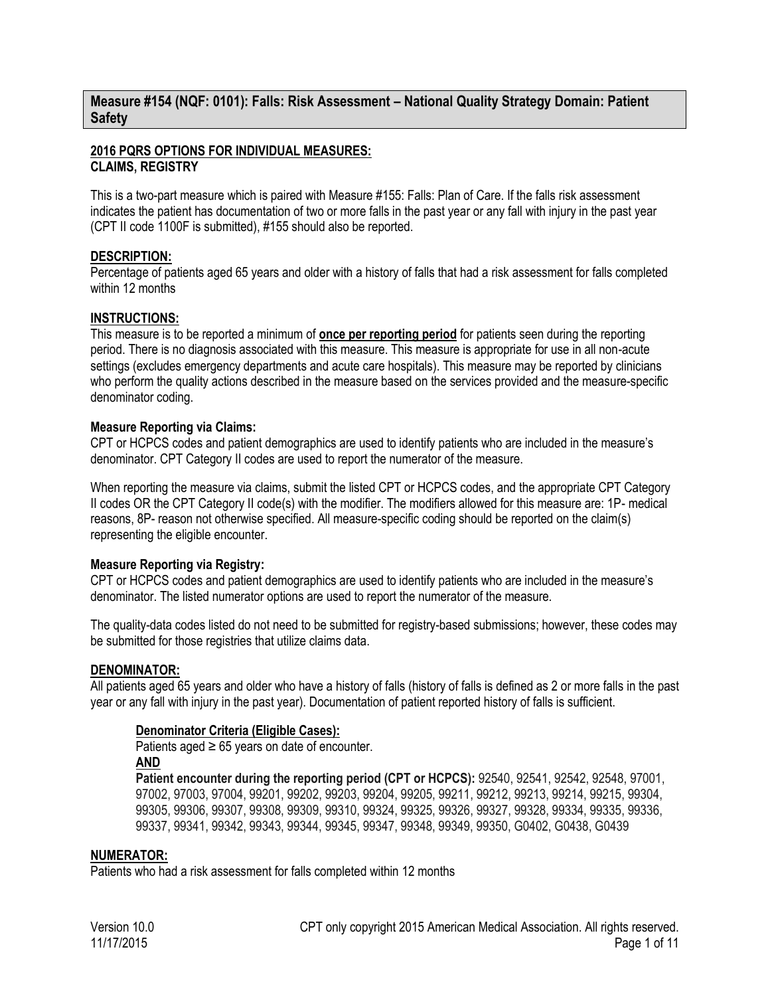## **Measure #154 (NQF: 0101): Falls: Risk Assessment – National Quality Strategy Domain: Patient Safety**

### **2016 PQRS OPTIONS FOR INDIVIDUAL MEASURES: CLAIMS, REGISTRY**

This is a two-part measure which is paired with Measure #155: Falls: Plan of Care. If the falls risk assessment indicates the patient has documentation of two or more falls in the past year or any fall with injury in the past year (CPT II code 1100F is submitted), #155 should also be reported.

### **DESCRIPTION:**

Percentage of patients aged 65 years and older with a history of falls that had a risk assessment for falls completed within 12 months

### **INSTRUCTIONS:**

This measure is to be reported a minimum of **once per reporting period** for patients seen during the reporting period. There is no diagnosis associated with this measure. This measure is appropriate for use in all non-acute settings (excludes emergency departments and acute care hospitals). This measure may be reported by clinicians who perform the quality actions described in the measure based on the services provided and the measure-specific denominator coding.

### **Measure Reporting via Claims:**

CPT or HCPCS codes and patient demographics are used to identify patients who are included in the measure's denominator. CPT Category II codes are used to report the numerator of the measure.

When reporting the measure via claims, submit the listed CPT or HCPCS codes, and the appropriate CPT Category II codes OR the CPT Category II code(s) with the modifier. The modifiers allowed for this measure are: 1P- medical reasons, 8P- reason not otherwise specified. All measure-specific coding should be reported on the claim(s) representing the eligible encounter.

## **Measure Reporting via Registry:**

CPT or HCPCS codes and patient demographics are used to identify patients who are included in the measure's denominator. The listed numerator options are used to report the numerator of the measure.

The quality-data codes listed do not need to be submitted for registry-based submissions; however, these codes may be submitted for those registries that utilize claims data.

#### **DENOMINATOR:**

All patients aged 65 years and older who have a history of falls (history of falls is defined as 2 or more falls in the past year or any fall with injury in the past year). Documentation of patient reported history of falls is sufficient.

## **Denominator Criteria (Eligible Cases):**

Patients aged  $\geq 65$  years on date of encounter. **AND**

**Patient encounter during the reporting period (CPT or HCPCS):** 92540, 92541, 92542, 92548, 97001, 97002, 97003, 97004, 99201, 99202, 99203, 99204, 99205, 99211, 99212, 99213, 99214, 99215, 99304, 99305, 99306, 99307, 99308, 99309, 99310, 99324, 99325, 99326, 99327, 99328, 99334, 99335, 99336, 99337, 99341, 99342, 99343, 99344, 99345, 99347, 99348, 99349, 99350, G0402, G0438, G0439

#### **NUMERATOR:**

Patients who had a risk assessment for falls completed within 12 months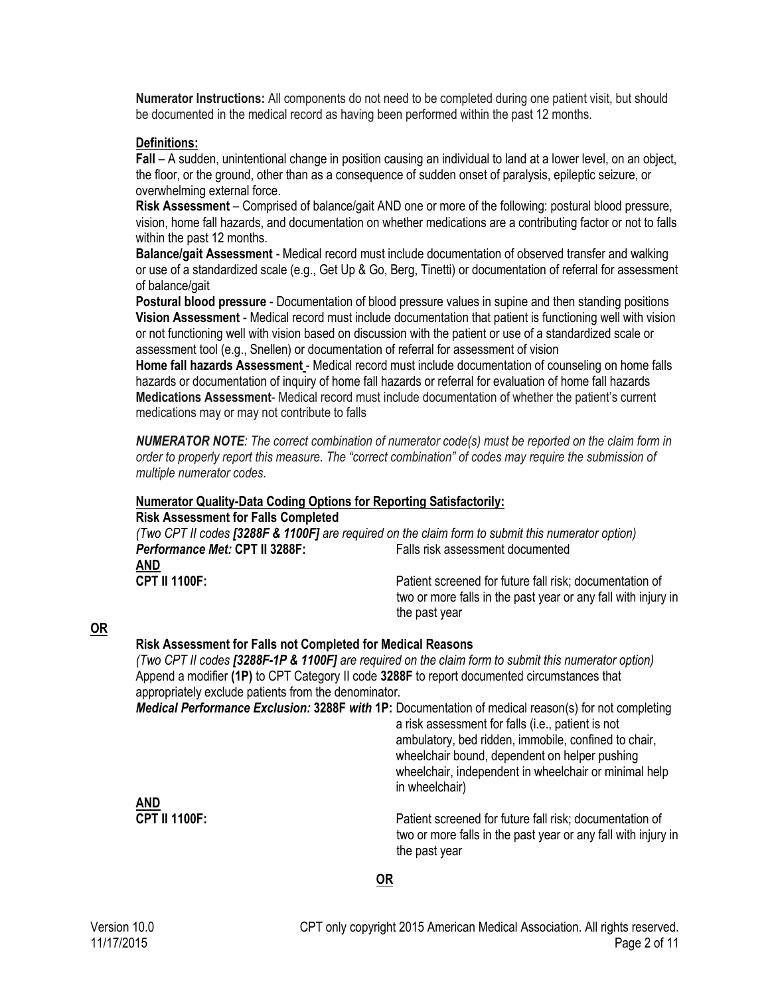**Numerator Instructions:** All components do not need to be completed during one patient visit, but should be documented in the medical record as having been performed within the past 12 months.

#### **Definitions:**

**Fall** – A sudden, unintentional change in position causing an individual to land at a lower level, on an object, the floor, or the ground, other than as a consequence of sudden onset of paralysis, epileptic seizure, or overwhelming external force.

**Risk Assessment** – Comprised of balance/gait AND one or more of the following: postural blood pressure, vision, home fall hazards, and documentation on whether medications are a contributing factor or not to falls within the past 12 months.

**Balance/gait Assessment** - Medical record must include documentation of observed transfer and walking or use of a standardized scale (e.g., Get Up & Go, Berg, Tinetti) or documentation of referral for assessment of balance/gait

**Postural blood pressure** - Documentation of blood pressure values in supine and then standing positions **Vision Assessment** - Medical record must include documentation that patient is functioning well with vision or not functioning well with vision based on discussion with the patient or use of a standardized scale or assessment tool (e.g., Snellen) or documentation of referral for assessment of vision

**Home fall hazards Assessment** - Medical record must include documentation of counseling on home falls hazards or documentation of inquiry of home fall hazards or referral for evaluation of home fall hazards **Medications Assessment**- Medical record must include documentation of whether the patient's current medications may or may not contribute to falls

*NUMERATOR NOTE: The correct combination of numerator code(s) must be reported on the claim form in order to properly report this measure. The "correct combination" of codes may require the submission of multiple numerator codes.* 

## **Numerator Quality-Data Coding Options for Reporting Satisfactorily:**

| <b>Risk Assessment for Falls Completed</b> |  |
|--------------------------------------------|--|
|--------------------------------------------|--|

| (Two CPT II codes [3288F & 1100F] are required on the claim form to submit this numerator option) |                                                                                                                          |  |  |  |
|---------------------------------------------------------------------------------------------------|--------------------------------------------------------------------------------------------------------------------------|--|--|--|
| <i>Performance Met:</i> CPT II 3288F: .                                                           | Falls risk assessment documented                                                                                         |  |  |  |
| AND                                                                                               |                                                                                                                          |  |  |  |
| CPT II 1100F:                                                                                     | Patient screened for future fall risk; documentation of<br>two or more falls in the past year or any fall with injury in |  |  |  |

the past year

## **OR**

## **Risk Assessment for Falls not Completed for Medical Reasons**

*(Two CPT II codes [3288F-1P & 1100F] are required on the claim form to submit this numerator option)*  Append a modifier **(1P)** to CPT Category II code **3288F** to report documented circumstances that appropriately exclude patients from the denominator.

*Medical Performance Exclusion:* **3288F** *with* **1P:** Documentation of medical reason(s) for not completing a risk assessment for falls (i.e., patient is not ambulatory, bed ridden, immobile, confined to chair, wheelchair bound, dependent on helper pushing wheelchair, independent in wheelchair or minimal help in wheelchair)

> Patient screened for future fall risk; documentation of two or more falls in the past year or any fall with injury in the past year

## **OR**

**AND**<br>CPT II 1100F: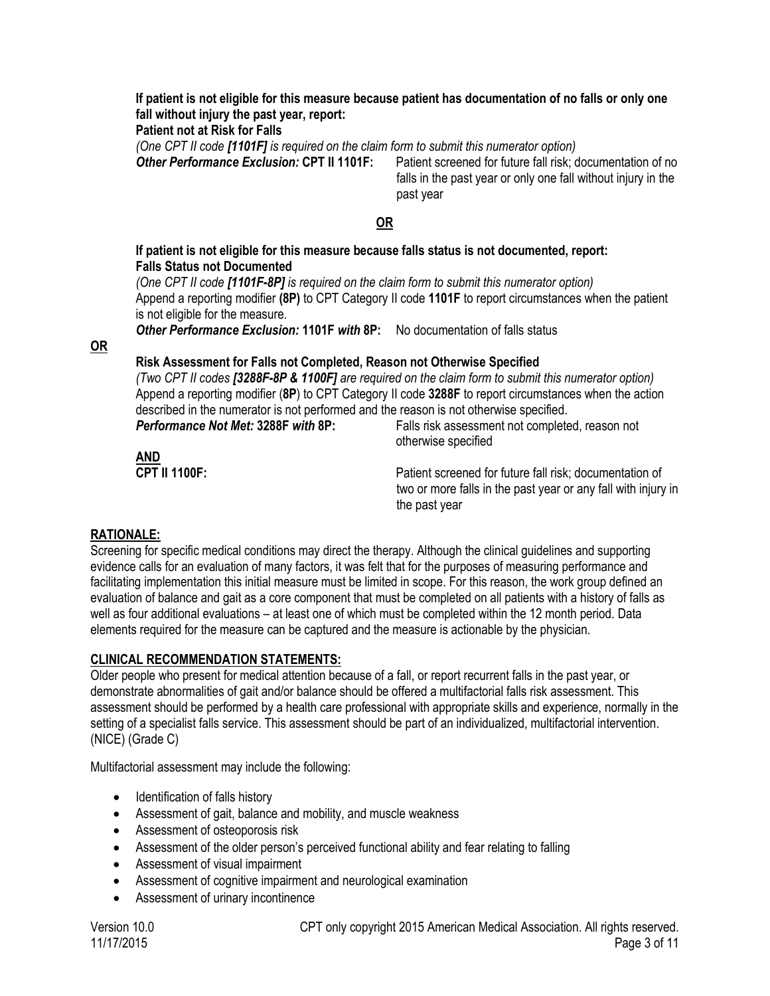**If patient is not eligible for this measure because patient has documentation of no falls or only one fall without injury the past year, report:** 

**Patient not at Risk for Falls** 

*(One CPT II code [1101F] is required on the claim form to submit this numerator option)* 

*Other Performance Exclusion:* **CPT II 1101F:** Patient screened for future fall risk; documentation of no falls in the past year or only one fall without injury in the past year

## **OR**

#### **If patient is not eligible for this measure because falls status is not documented, report: Falls Status not Documented**

*(One CPT II code [1101F-8P] is required on the claim form to submit this numerator option)*  Append a reporting modifier **(8P)** to CPT Category II code **1101F** to report circumstances when the patient is not eligible for the measure.

*Other Performance Exclusion:* **1101F** *with* **8P:** No documentation of falls status

**OR**

## **Risk Assessment for Falls not Completed, Reason not Otherwise Specified**

*(Two CPT II codes [3288F-8P & 1100F] are required on the claim form to submit this numerator option)*  Append a reporting modifier (**8P**) to CPT Category II code **3288F** to report circumstances when the action described in the numerator is not performed and the reason is not otherwise specified.

*Performance Not Met:* **3288F** *with* **8P:** Falls risk assessment not completed, reason not otherwise specified

> Patient screened for future fall risk; documentation of two or more falls in the past year or any fall with injury in the past year

## **RATIONALE:**

<u>AND</u><br>CPT II 1100F:

Screening for specific medical conditions may direct the therapy. Although the clinical guidelines and supporting evidence calls for an evaluation of many factors, it was felt that for the purposes of measuring performance and facilitating implementation this initial measure must be limited in scope. For this reason, the work group defined an evaluation of balance and gait as a core component that must be completed on all patients with a history of falls as well as four additional evaluations – at least one of which must be completed within the 12 month period. Data elements required for the measure can be captured and the measure is actionable by the physician.

## **CLINICAL RECOMMENDATION STATEMENTS:**

Older people who present for medical attention because of a fall, or report recurrent falls in the past year, or demonstrate abnormalities of gait and/or balance should be offered a multifactorial falls risk assessment. This assessment should be performed by a health care professional with appropriate skills and experience, normally in the setting of a specialist falls service. This assessment should be part of an individualized, multifactorial intervention. (NICE) (Grade C)

Multifactorial assessment may include the following:

- Identification of falls history
- Assessment of gait, balance and mobility, and muscle weakness
- Assessment of osteoporosis risk
- Assessment of the older person's perceived functional ability and fear relating to falling
- Assessment of visual impairment
- Assessment of cognitive impairment and neurological examination
- Assessment of urinary incontinence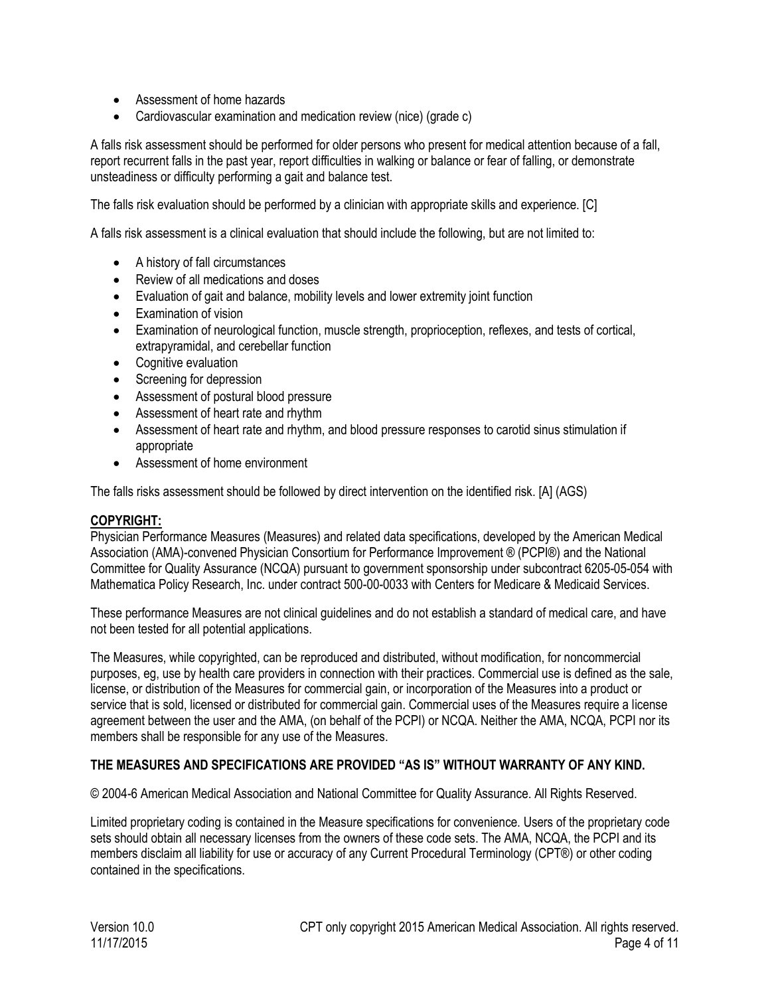- Assessment of home hazards
- Cardiovascular examination and medication review (nice) (grade c)

A falls risk assessment should be performed for older persons who present for medical attention because of a fall, report recurrent falls in the past year, report difficulties in walking or balance or fear of falling, or demonstrate unsteadiness or difficulty performing a gait and balance test.

The falls risk evaluation should be performed by a clinician with appropriate skills and experience. [C]

A falls risk assessment is a clinical evaluation that should include the following, but are not limited to:

- A history of fall circumstances
- Review of all medications and doses
- Evaluation of gait and balance, mobility levels and lower extremity joint function
- Examination of vision
- Examination of neurological function, muscle strength, proprioception, reflexes, and tests of cortical, extrapyramidal, and cerebellar function
- Cognitive evaluation
- Screening for depression
- Assessment of postural blood pressure
- Assessment of heart rate and rhythm
- Assessment of heart rate and rhythm, and blood pressure responses to carotid sinus stimulation if appropriate
- Assessment of home environment

The falls risks assessment should be followed by direct intervention on the identified risk. [A] (AGS)

### **COPYRIGHT:**

Physician Performance Measures (Measures) and related data specifications, developed by the American Medical Association (AMA)-convened Physician Consortium for Performance Improvement ® (PCPI®) and the National Committee for Quality Assurance (NCQA) pursuant to government sponsorship under subcontract 6205-05-054 with Mathematica Policy Research, Inc. under contract 500-00-0033 with Centers for Medicare & Medicaid Services.

These performance Measures are not clinical guidelines and do not establish a standard of medical care, and have not been tested for all potential applications.

The Measures, while copyrighted, can be reproduced and distributed, without modification, for noncommercial purposes, eg, use by health care providers in connection with their practices. Commercial use is defined as the sale, license, or distribution of the Measures for commercial gain, or incorporation of the Measures into a product or service that is sold, licensed or distributed for commercial gain. Commercial uses of the Measures require a license agreement between the user and the AMA, (on behalf of the PCPI) or NCQA. Neither the AMA, NCQA, PCPI nor its members shall be responsible for any use of the Measures.

## **THE MEASURES AND SPECIFICATIONS ARE PROVIDED "AS IS" WITHOUT WARRANTY OF ANY KIND.**

© 2004-6 American Medical Association and National Committee for Quality Assurance. All Rights Reserved.

Limited proprietary coding is contained in the Measure specifications for convenience. Users of the proprietary code sets should obtain all necessary licenses from the owners of these code sets. The AMA, NCQA, the PCPI and its members disclaim all liability for use or accuracy of any Current Procedural Terminology (CPT®) or other coding contained in the specifications.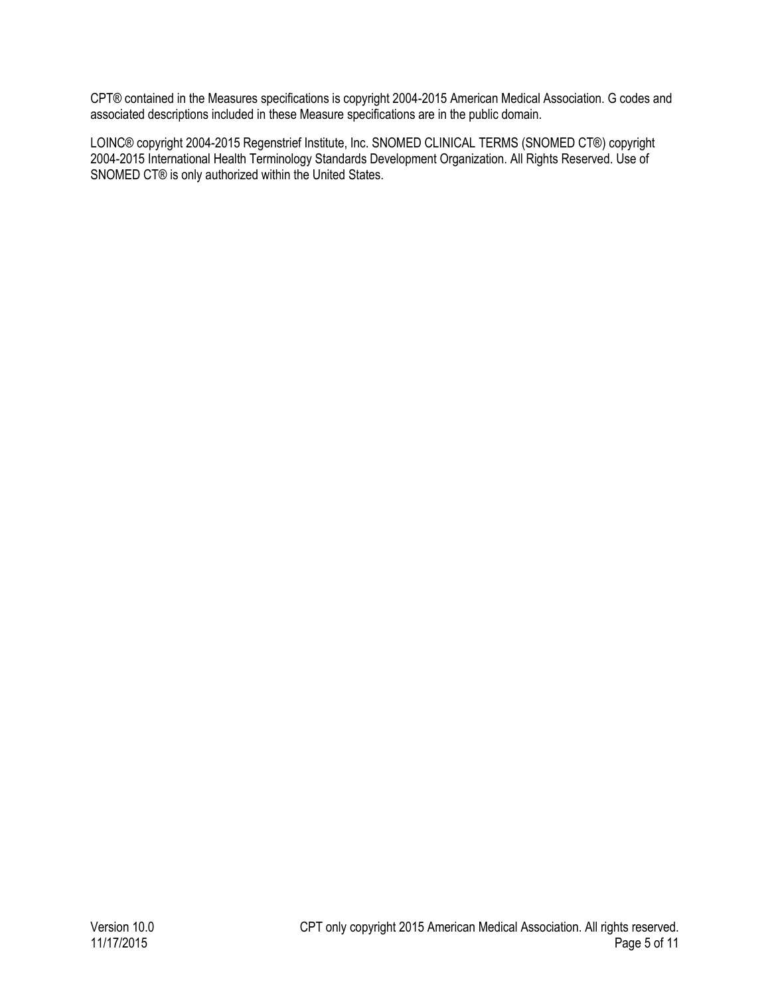CPT® contained in the Measures specifications is copyright 2004-2015 American Medical Association. G codes and associated descriptions included in these Measure specifications are in the public domain.

LOINC® copyright 2004-2015 Regenstrief Institute, Inc. SNOMED CLINICAL TERMS (SNOMED CT®) copyright 2004-2015 International Health Terminology Standards Development Organization. All Rights Reserved. Use of SNOMED CT® is only authorized within the United States.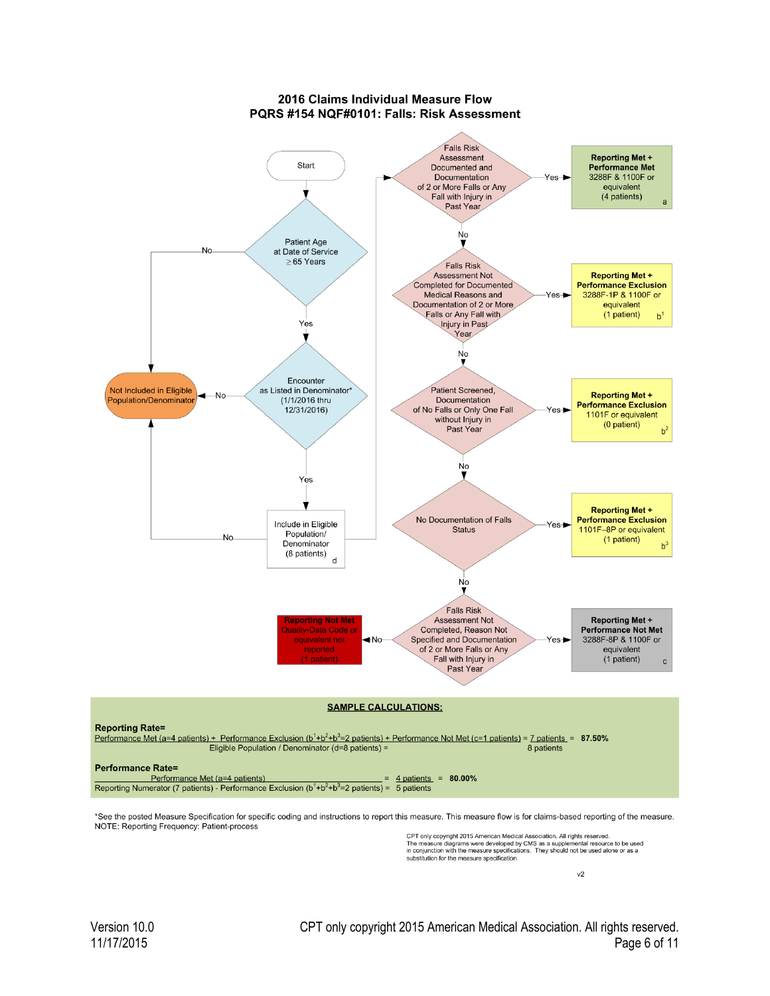#### 2016 Claims Individual Measure Flow PQRS #154 NQF#0101: Falls: Risk Assessment



\*See the posted Measure Specification for specific coding and instructions to report this measure. This measure flow is for claims-based reporting of the measure. NOTE: Reporting Frequency: Patient-process

CPT only copyright 2015 American Medical Association. All rights reserved.<br>The measure diagrams were developed by CMS as a supplemental resource to be used<br>in conjunction with the measure specifications. They should not be

 $v<sub>2</sub>$ 

Version 10.0 CPT only copyright 2015 American Medical Association. All rights reserved. Page 6 of 11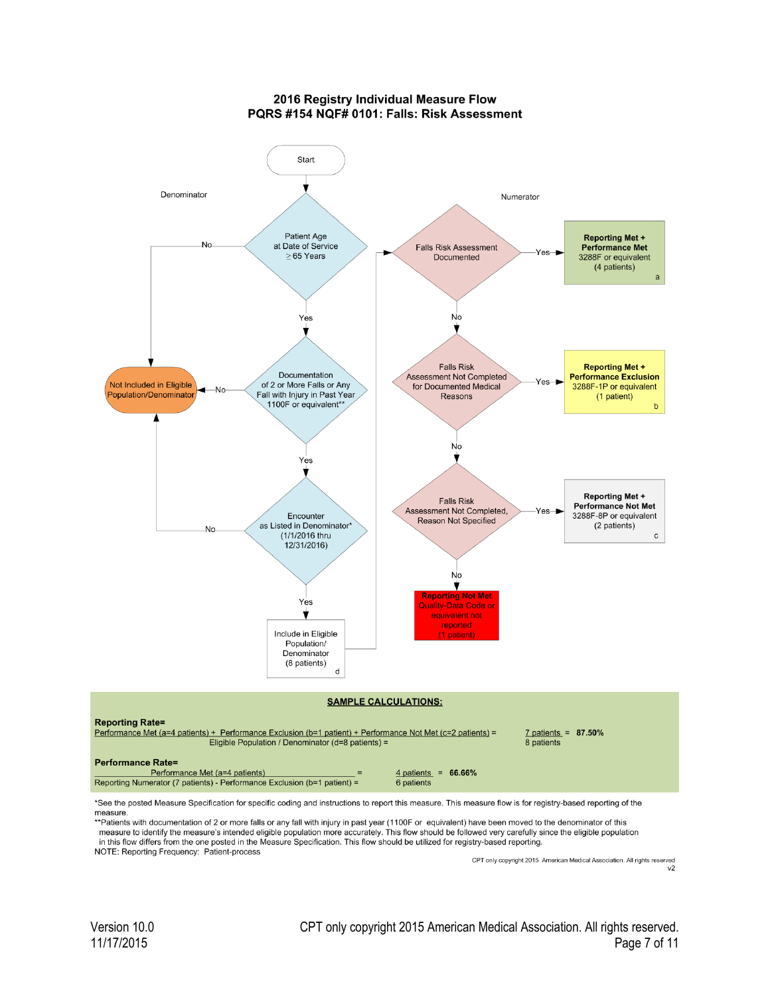2016 Registry Individual Measure Flow PQRS #154 NQF# 0101: Falls: Risk Assessment



measure.<br>
\*\*Patients with documentation of 2 or more falls or any fall with injury in past year (1100F or equivalent) have been moved to the denominator of this<br>
\*\*Patients with documentation of 2 or more falls or any fall

measure to identify the measure's intended eligible population more accurately. This flow should be followed very carefully since the eligible population in this flow differs from the one posted in the Measure Specification. This flow should be utilized for registry-based reporting.

NOTE: Reporting Frequency: Patient-process

CPT only copyright 2015 American Medical Association. All rights reserved  $v<sub>2</sub>$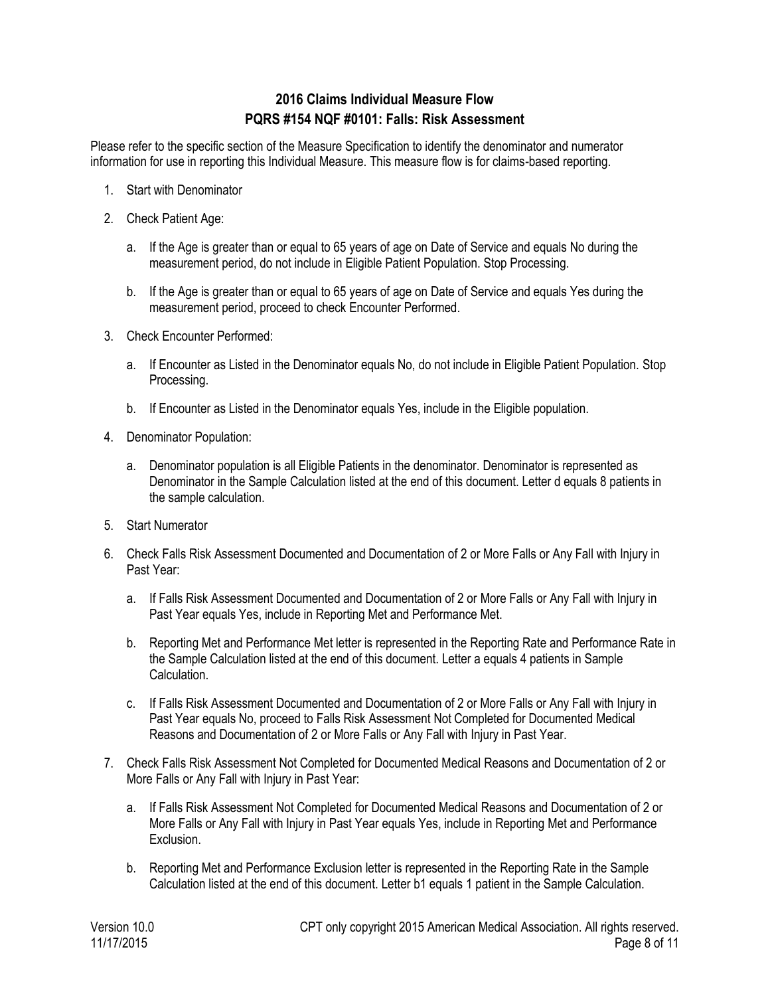# **2016 Claims Individual Measure Flow PQRS #154 NQF #0101: Falls: Risk Assessment**

Please refer to the specific section of the Measure Specification to identify the denominator and numerator information for use in reporting this Individual Measure. This measure flow is for claims-based reporting.

- 1. Start with Denominator
- 2. Check Patient Age:
	- a. If the Age is greater than or equal to 65 years of age on Date of Service and equals No during the measurement period, do not include in Eligible Patient Population. Stop Processing.
	- b. If the Age is greater than or equal to 65 years of age on Date of Service and equals Yes during the measurement period, proceed to check Encounter Performed.
- 3. Check Encounter Performed:
	- a. If Encounter as Listed in the Denominator equals No, do not include in Eligible Patient Population. Stop Processing.
	- b. If Encounter as Listed in the Denominator equals Yes, include in the Eligible population.
- 4. Denominator Population:
	- a. Denominator population is all Eligible Patients in the denominator. Denominator is represented as Denominator in the Sample Calculation listed at the end of this document. Letter d equals 8 patients in the sample calculation.
- 5. Start Numerator
- 6. Check Falls Risk Assessment Documented and Documentation of 2 or More Falls or Any Fall with Injury in Past Year:
	- a. If Falls Risk Assessment Documented and Documentation of 2 or More Falls or Any Fall with Injury in Past Year equals Yes, include in Reporting Met and Performance Met.
	- b. Reporting Met and Performance Met letter is represented in the Reporting Rate and Performance Rate in the Sample Calculation listed at the end of this document. Letter a equals 4 patients in Sample **Calculation**
	- c. If Falls Risk Assessment Documented and Documentation of 2 or More Falls or Any Fall with Injury in Past Year equals No, proceed to Falls Risk Assessment Not Completed for Documented Medical Reasons and Documentation of 2 or More Falls or Any Fall with Injury in Past Year.
- 7. Check Falls Risk Assessment Not Completed for Documented Medical Reasons and Documentation of 2 or More Falls or Any Fall with Injury in Past Year:
	- a. If Falls Risk Assessment Not Completed for Documented Medical Reasons and Documentation of 2 or More Falls or Any Fall with Injury in Past Year equals Yes, include in Reporting Met and Performance Exclusion.
	- b. Reporting Met and Performance Exclusion letter is represented in the Reporting Rate in the Sample Calculation listed at the end of this document. Letter b1 equals 1 patient in the Sample Calculation.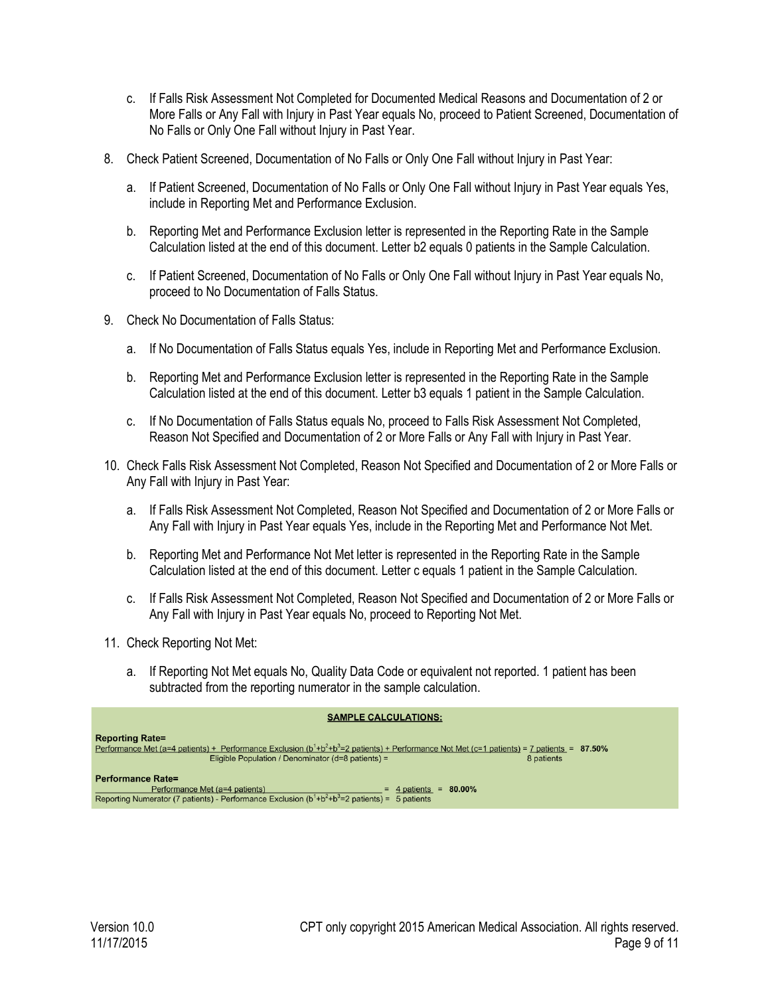- c. If Falls Risk Assessment Not Completed for Documented Medical Reasons and Documentation of 2 or More Falls or Any Fall with Injury in Past Year equals No, proceed to Patient Screened, Documentation of No Falls or Only One Fall without Injury in Past Year.
- 8. Check Patient Screened, Documentation of No Falls or Only One Fall without Injury in Past Year:
	- a. If Patient Screened, Documentation of No Falls or Only One Fall without Injury in Past Year equals Yes, include in Reporting Met and Performance Exclusion.
	- b. Reporting Met and Performance Exclusion letter is represented in the Reporting Rate in the Sample Calculation listed at the end of this document. Letter b2 equals 0 patients in the Sample Calculation.
	- c. If Patient Screened, Documentation of No Falls or Only One Fall without Injury in Past Year equals No, proceed to No Documentation of Falls Status.
- 9. Check No Documentation of Falls Status:
	- a. If No Documentation of Falls Status equals Yes, include in Reporting Met and Performance Exclusion.
	- b. Reporting Met and Performance Exclusion letter is represented in the Reporting Rate in the Sample Calculation listed at the end of this document. Letter b3 equals 1 patient in the Sample Calculation.
	- c. If No Documentation of Falls Status equals No, proceed to Falls Risk Assessment Not Completed, Reason Not Specified and Documentation of 2 or More Falls or Any Fall with Injury in Past Year.
- 10. Check Falls Risk Assessment Not Completed, Reason Not Specified and Documentation of 2 or More Falls or Any Fall with Injury in Past Year:
	- a. If Falls Risk Assessment Not Completed, Reason Not Specified and Documentation of 2 or More Falls or Any Fall with Injury in Past Year equals Yes, include in the Reporting Met and Performance Not Met.
	- b. Reporting Met and Performance Not Met letter is represented in the Reporting Rate in the Sample Calculation listed at the end of this document. Letter c equals 1 patient in the Sample Calculation.
	- c. If Falls Risk Assessment Not Completed, Reason Not Specified and Documentation of 2 or More Falls or Any Fall with Injury in Past Year equals No, proceed to Reporting Not Met.
- 11. Check Reporting Not Met:
	- a. If Reporting Not Met equals No, Quality Data Code or equivalent not reported. 1 patient has been subtracted from the reporting numerator in the sample calculation.

| <b>SAMPLE CALCULATIONS:</b> |  |  |  |  |  |  |  |
|-----------------------------|--|--|--|--|--|--|--|
|-----------------------------|--|--|--|--|--|--|--|

| <b>Reporting Rate=</b>                                                                                                                              |            |
|-----------------------------------------------------------------------------------------------------------------------------------------------------|------------|
| Performance Met (a=4 patients) + Performance Exclusion ( $b^1 + b^2 + b^3 = 2$ patients) + Performance Not Met (c=1 patients) = 7 patients = 87.50% |            |
| Eligible Population / Denominator (d=8 patients) =                                                                                                  | 8 patients |
| <b>Performance Rate=</b>                                                                                                                            |            |
| Performance Met (a=4 patients)<br>$= 80.00\%$<br>$=$ 4 patients                                                                                     |            |
| Reporting Numerator (7 patients) - Performance Exclusion $(b^1+b^2+b^3=2$ patients) = 5 patients                                                    |            |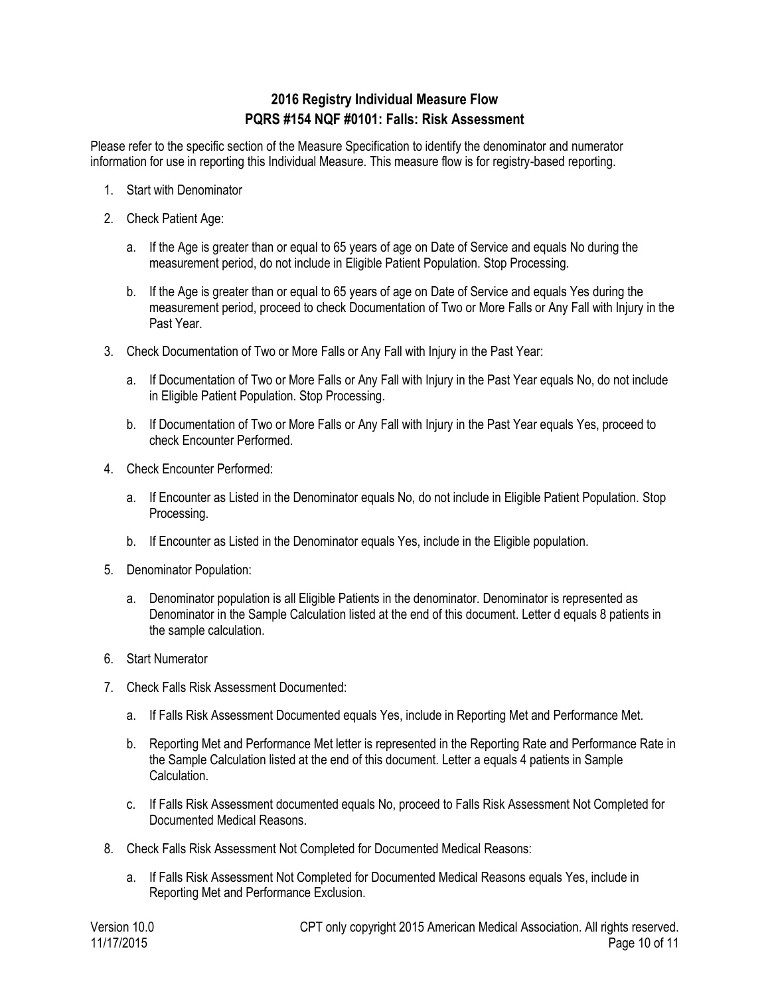# **2016 Registry Individual Measure Flow PQRS #154 NQF #0101: Falls: Risk Assessment**

Please refer to the specific section of the Measure Specification to identify the denominator and numerator information for use in reporting this Individual Measure. This measure flow is for registry-based reporting.

- 1. Start with Denominator
- 2. Check Patient Age:
	- a. If the Age is greater than or equal to 65 years of age on Date of Service and equals No during the measurement period, do not include in Eligible Patient Population. Stop Processing.
	- b. If the Age is greater than or equal to 65 years of age on Date of Service and equals Yes during the measurement period, proceed to check Documentation of Two or More Falls or Any Fall with Injury in the Past Year.
- 3. Check Documentation of Two or More Falls or Any Fall with Injury in the Past Year:
	- a. If Documentation of Two or More Falls or Any Fall with Injury in the Past Year equals No, do not include in Eligible Patient Population. Stop Processing.
	- b. If Documentation of Two or More Falls or Any Fall with Injury in the Past Year equals Yes, proceed to check Encounter Performed.
- 4. Check Encounter Performed:
	- a. If Encounter as Listed in the Denominator equals No, do not include in Eligible Patient Population. Stop Processing.
	- b. If Encounter as Listed in the Denominator equals Yes, include in the Eligible population.
- 5. Denominator Population:
	- a. Denominator population is all Eligible Patients in the denominator. Denominator is represented as Denominator in the Sample Calculation listed at the end of this document. Letter d equals 8 patients in the sample calculation.
- 6. Start Numerator
- 7. Check Falls Risk Assessment Documented:
	- a. If Falls Risk Assessment Documented equals Yes, include in Reporting Met and Performance Met.
	- b. Reporting Met and Performance Met letter is represented in the Reporting Rate and Performance Rate in the Sample Calculation listed at the end of this document. Letter a equals 4 patients in Sample Calculation.
	- c. If Falls Risk Assessment documented equals No, proceed to Falls Risk Assessment Not Completed for Documented Medical Reasons.
- 8. Check Falls Risk Assessment Not Completed for Documented Medical Reasons:
	- a. If Falls Risk Assessment Not Completed for Documented Medical Reasons equals Yes, include in Reporting Met and Performance Exclusion.